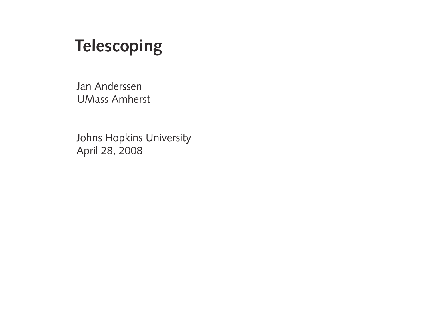# **Telescoping**

Jan Anderssen UMass Amherst

Johns Hopkins University April 28, 2008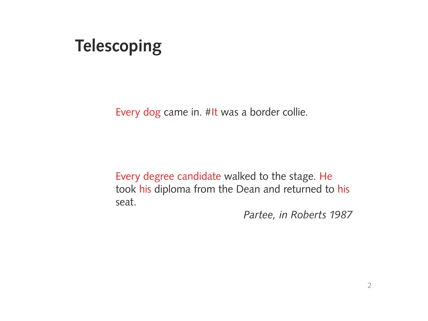# **Telescoping**

Every dog came in. #It was a border collie.

 Every degree candidate walked to the stage. He took his diploma from the Dean and returned to his seat.

*Partee, in Roberts 1987*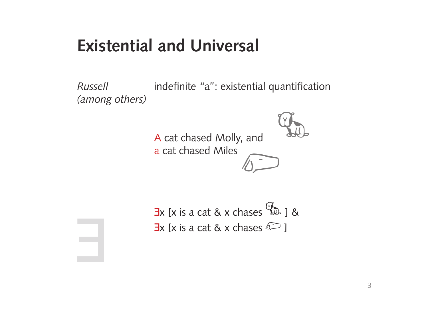# **Existential and Universal**

*Russell* indefinite "a": existential quantification *(among others)*

> A cat chased Molly, and a cat chased Miles  $\sqrt{2}$





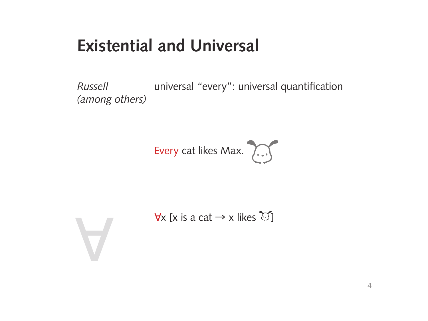# **Existential and Universal**

*Russell* universal "every": universal quantification *(among others)*



 $\forall$ x [x is a cat → x likes  $\Im$ ]

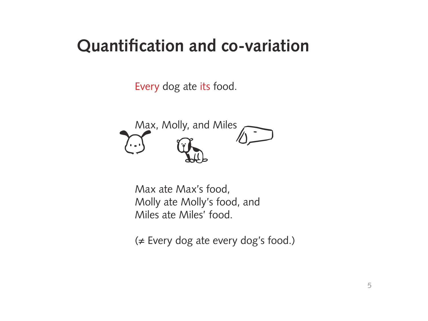### **Quantification and co-variation**

Every dog ate its food.



 Max ate Max's food, Molly ate Molly's food, and Miles ate Miles' food.

(≠ Every dog ate every dog's food.)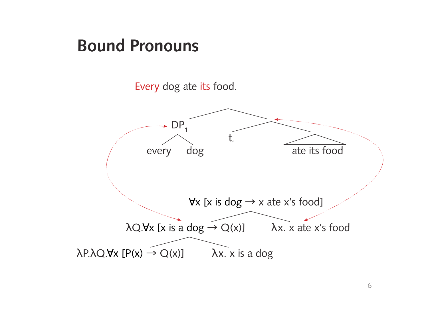### **Bound Pronouns**

Every dog ate its food.

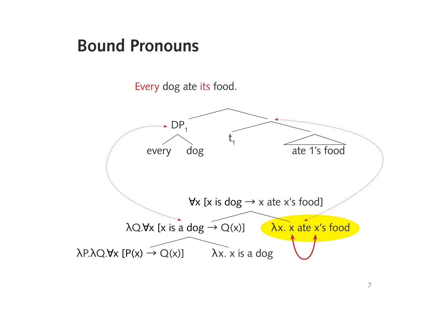### **Bound Pronouns**

Every dog ate its food.

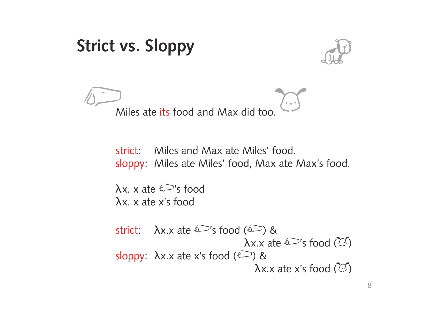

 strict: Miles and Max ate Miles' food. sloppy: Miles ate Miles' food, Max ate Max's food.

 $\lambda x$ . x ate  $\mathbb{Z}$ 's food λx. x ate x's food

strict:  $\lambda x.x$  ate  $\mathbb{Z}$ 's food ( $\mathbb{Z}$ ) &  $\lambda$ x.x ate  $\mathbb{Z}$ 's food ( $\mathbb{G}$ ) sloppy:  $\lambda x \times \lambda x$  ate x's food ( $\ell$ ) &  $\lambda x \times$  ate x's food  $(\odot)$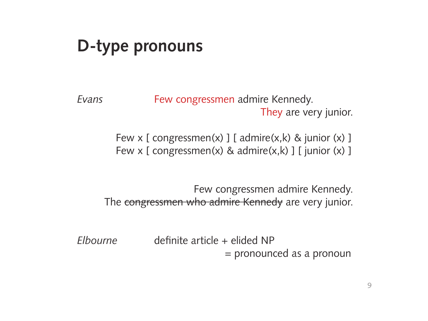### **D-type pronouns**

**Evans** Few congressmen admire Kennedy. They are very junior.

> Few  $x \in \text{congressionen}(x)$  [ admire(x,k) & junior (x) ] Few x [ congressmen(x) & admire(x,k) ] [ junior (x) ]

Few congressmen admire Kennedy. The congressmen who admire Kennedy are very junior.

*Elbourne* definite article + elided NP = pronounced as a pronoun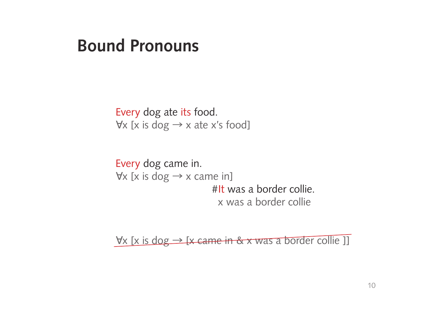#### **Bound Pronouns**

 Every dog ate its food.  $\forall x$  [x is dog  $\rightarrow$  x ate x's food]

 Every dog came in.  $\forall x$  [x is dog  $\rightarrow x$  came in] #It was a border collie. x was a border collie

∀x [x is dog → [x came in & x was a border collie ]]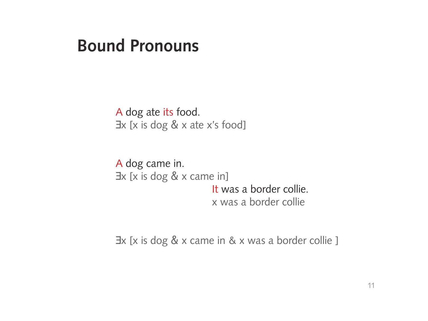#### **Bound Pronouns**

 A dog ate its food. ∃x [x is dog & x ate x's food]

 A dog came in. ∃x [x is dog & x came in] It was a border collie. x was a border collie

∃x [x is dog & x came in & x was a border collie ]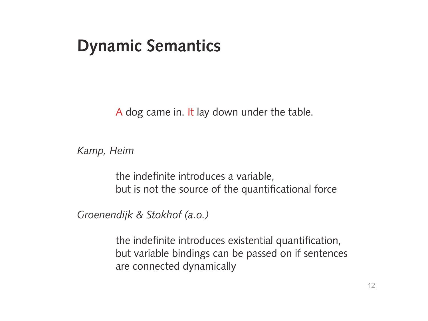#### **Dynamic Semantics**

A dog came in. It lay down under the table.

*Kamp, Heim*

 the indefinite introduces a variable, but is not the source of the quantificational force

*Groenendijk & Stokhof (a.o.)*

 the indefinite introduces existential quantification, but variable bindings can be passed on if sentences are connected dynamically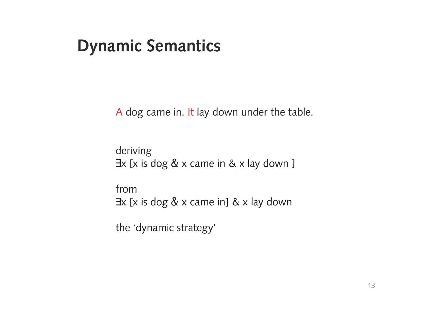#### **Dynamic Semantics**

A dog came in. It lay down under the table.

 deriving ∃x [x is dog & x came in & x lay down ]

 from ∃x [x is dog & x came in] & x lay down

the 'dynamic strategy'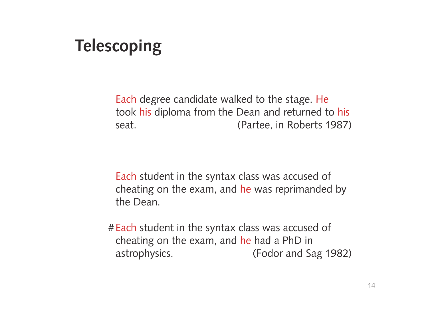# **Telescoping**

 Each degree candidate walked to the stage. He took his diploma from the Dean and returned to his seat. (Partee, in Roberts 1987)

 Each student in the syntax class was accused of cheating on the exam, and he was reprimanded by the Dean.

 # Each student in the syntax class was accused of cheating on the exam, and he had a PhD in astrophysics. (Fodor and Sag 1982)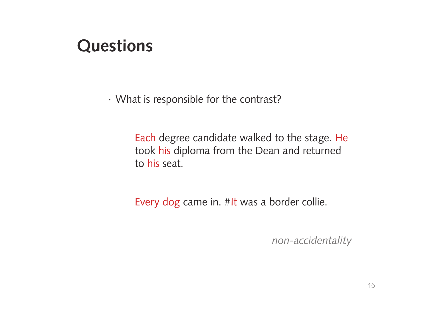# **Questions**

· What is responsible for the contrast?

 Each degree candidate walked to the stage. He took his diploma from the Dean and returned to his seat.

Every dog came in. #It was a border collie.

*non-accidentality*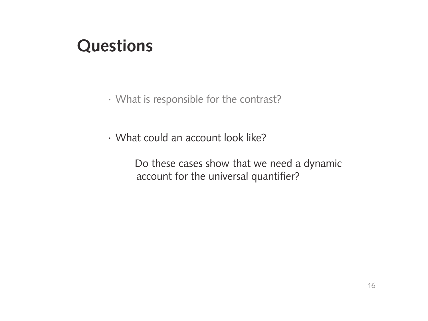# **Questions**

· What is responsible for the contrast?

· What could an account look like?

 Do these cases show that we need a dynamic account for the universal quantifier?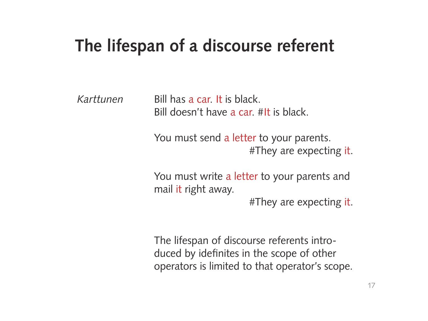# **The lifespan of a discourse referent**

*Karttunen* Bill has a car. It is black. Bill doesn't have a car. #It is black.

> You must send a letter to your parents. #They are expecting it.

> You must write a letter to your parents and mail it right away.

#They are expecting it.

 The lifespan of discourse referents intro duced by idefinites in the scope of other operators is limited to that operator's scope.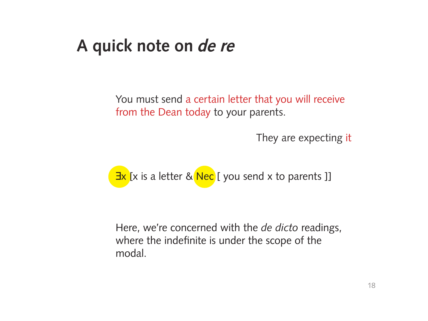# **A quick note on**

 You must send a certain letter that you will receive from the Dean today to your parents.

They are expecting it

**Ex** [x is a letter & Nec [ you send x to parents ]]

 Here, we're concerned with the *de dicto* readings, where the indefinite is under the scope of the modal.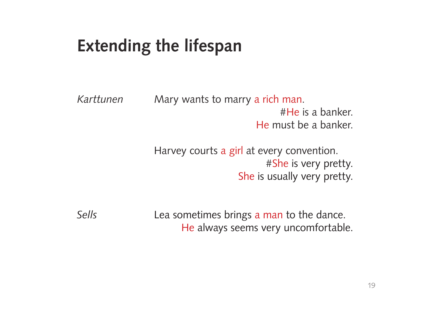# **Extending the lifespan**

*Karttunen* Mary wants to marry a rich man. #He is a banker. He must be a banker.

> Harvey courts a girl at every convention. #She is very pretty. She is usually very pretty.

*Sells* Lea sometimes brings a man to the dance. He always seems very uncomfortable.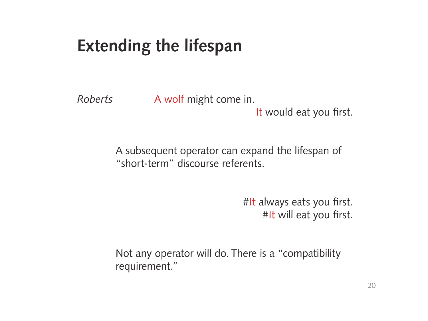# **Extending the lifespan**

*Roberts* A wolf might come in. It would eat you first.

> A subsequent operator can expand the lifespan of "short-term" discourse referents.

> > #It always eats you first. #It will eat you first.

 Not any operator will do. There is a "compatibility requirement."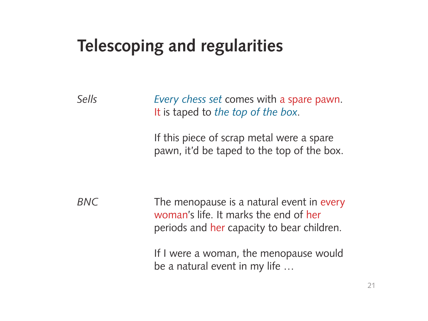## **Telescoping and regularities**

*Sells Every chess set* comes with a spare pawn. It is taped to *the top of the box*.

> If this piece of scrap metal were a spare pawn, it'd be taped to the top of the box.

*BNC* The menopause is a natural event in every woman's life. It marks the end of her periods and her capacity to bear children.

> If I were a woman, the menopause would be a natural event in my life …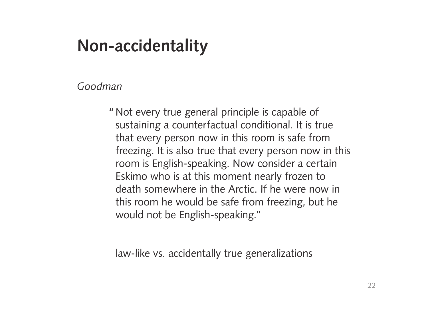# **Non-accidentality**

#### *Goodman*

 " Not every true general principle is capable of sustaining a counterfactual conditional. It is true that every person now in this room is safe from freezing. It is also true that every person now in this room is English-speaking. Now consider a certain Eskimo who is at this moment nearly frozen to death somewhere in the Arctic. If he were now in this room he would be safe from freezing, but he would not be English-speaking."

law-like vs. accidentally true generalizations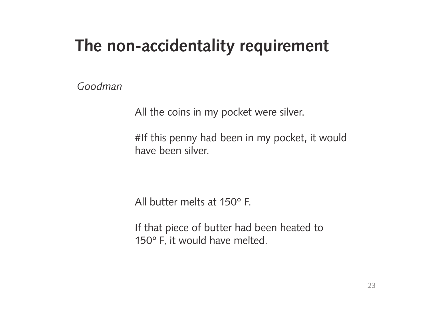*Goodman*

All the coins in my pocket were silver.

 #If this penny had been in my pocket, it would have been silver.

All butter melts at 150º F.

 If that piece of butter had been heated to 150º F, it would have melted.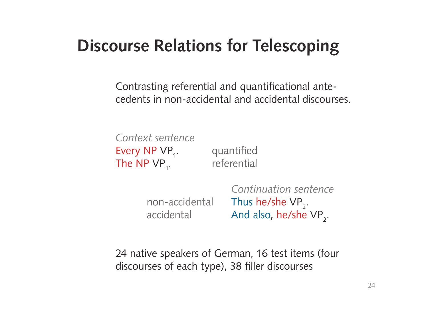# **Discourse Relations for Telescoping**

 Contrasting referential and quantificational ante cedents in non-accidental and accidental discourses.

 *Context sentence* Every NP VP<sub>1</sub>. quantified The NP  $VP_1$ .

. referential

 *Continuation sentence* non-accidental Thus he/she VP<sub>2</sub>. accidental **And also, he/she VP**<sub>2</sub>.

> 24 native speakers of German, 16 test items (four discourses of each type), 38 filler discourses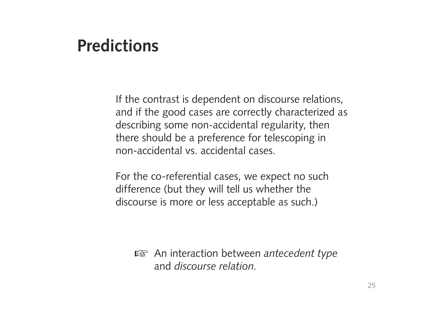# **Predictions**

 If the contrast is dependent on discourse relations, and if the good cases are correctly characterized as describing some non-accidental regularity, then there should be a preference for telescoping in non-accidental vs. accidental cases.

 For the co-referential cases, we expect no such difference (but they will tell us whether the discourse is more or less acceptable as such.)

 ☞ An interaction between *antecedent type* and *discourse relation*.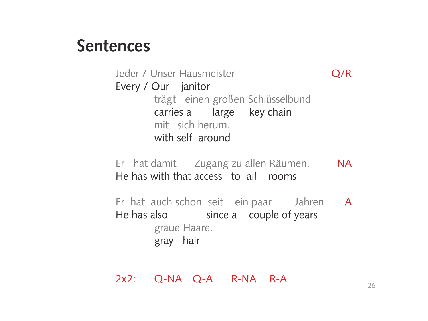#### **Sentences**

Jeder / Unser Hausmeister CO/R Every / Our janitor trägt einen großen Schlüsselbund carries a large key chain mit sich herum. with self around

Er hat damit Zugang zu allen Räumen. NA He has with that access to all rooms

 Er hat auch schon seit ein paar Jahren A He has also since a couple of years graue Haare. gray hair

2x2: Q-NA Q-A R-NA R-A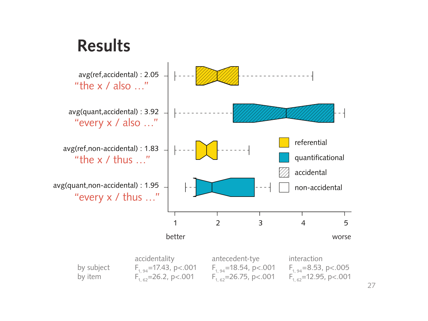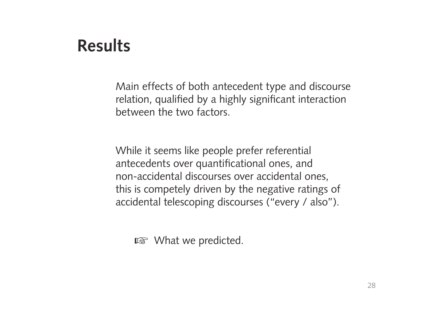# **Results**

 Main effects of both antecedent type and discourse relation, qualified by a highly significant interaction between the two factors.

 While it seems like people prefer referential antecedents over quantificational ones, and non-accidental discourses over accidental ones, this is competely driven by the negative ratings of accidental telescoping discourses ("every / also").

■ What we predicted.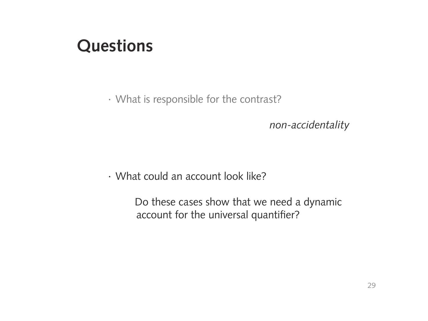# **Questions**

· What is responsible for the contrast?

 *non-accidentality*

· What could an account look like?

 Do these cases show that we need a dynamic account for the universal quantifier?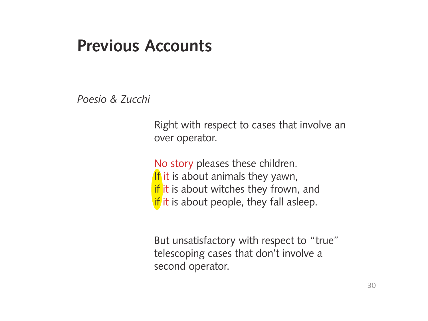#### **Previous Accounts**

*Poesio & Zucchi*

 Right with respect to cases that involve an over operator.

 No story pleases these children. If it is about animals they yawn, if it is about witches they frown, and if it is about people, they fall asleep.

 But unsatisfactory with respect to "true" telescoping cases that don't involve a second operator.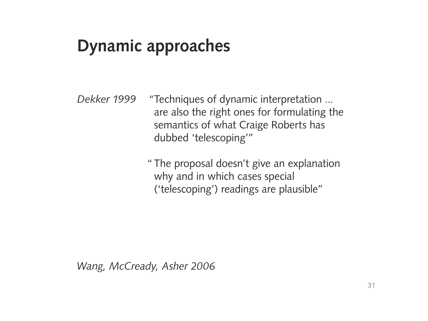# **Dynamic approaches**

*Dekker 1999 "* Techniques of dynamic interpretation ... are also the right ones for formulating the semantics of what Craige Roberts has dubbed 'telescoping'"

> " The proposal doesn't give an explanation why and in which cases special ('telescoping') readings are plausible"

*Wang, McCready, Asher 2006*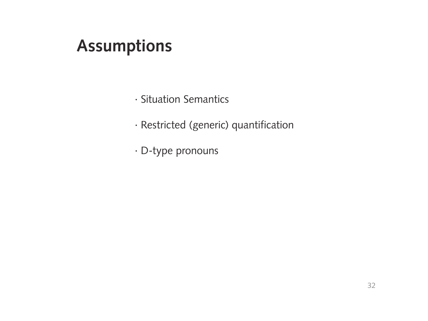# **Assumptions**

- *·* Situation Semantics
- *·* Restricted (generic) quantification
- *·* D-type pronouns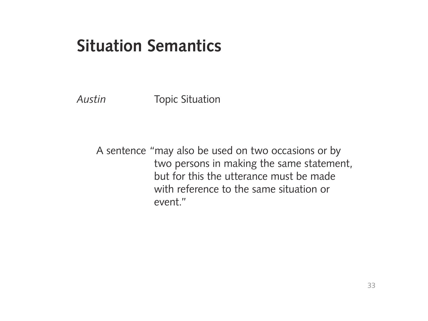#### **Situation Semantics**

*Austin* Topic Situation

 A sentence "may also be used on two occasions or by two persons in making the same statement, but for this the utterance must be made with reference to the same situation or event."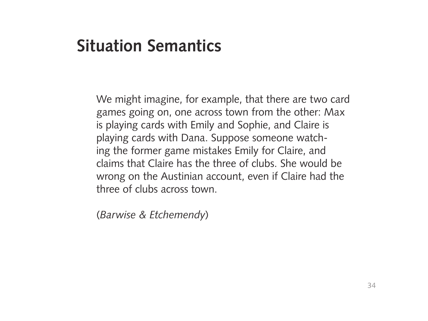### **Situation Semantics**

We might imagine, for example, that there are two card games going on, one across town from the other: Max is playing cards with Emily and Sophie, and Claire is playing cards with Dana. Suppose someone watch ing the former game mistakes Emily for Claire, and claims that Claire has the three of clubs. She would be wrong on the Austinian account, even if Claire had the three of clubs across town.

(*Barwise & Etchemendy*)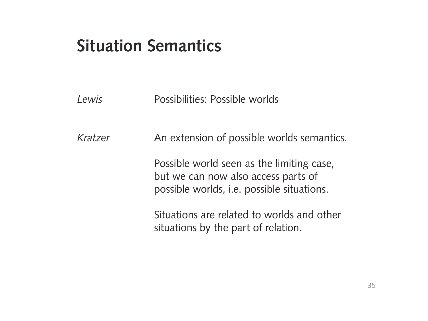### **Situation Semantics**

*Lewis* Possibilities: Possible worlds

*Kratzer* An extension of possible worlds semantics.

 Possible world seen as the limiting case, but we can now also access parts of possible worlds, i.e. possible situations.

 Situations are related to worlds and other situations by the part of relation.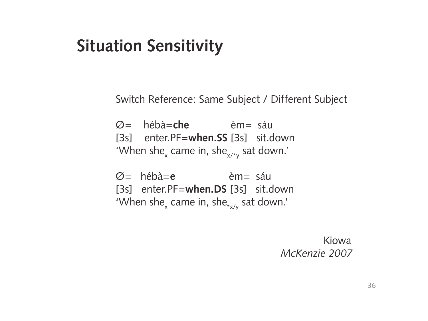### **Situation Sensitivity**

Switch Reference: Same Subject / Different Subject

 Ø= hébà=**che** èm= sáu [3s] enter.PF=**when.SS** [3s] sit.down 'When she $_{\mathsf{x}}$  came in, she $_{\mathsf{x}$ /\* $_{\mathsf{y}}}$  sat down.'

 Ø= hébà=**e** èm= sáu [3s] enter.PF=**when.DS** [3s] sit.down 'When she<sub>x</sub> came in, she $_{*_{x/y}}$  sat down.'

> Kiowa *McKenzie 2007*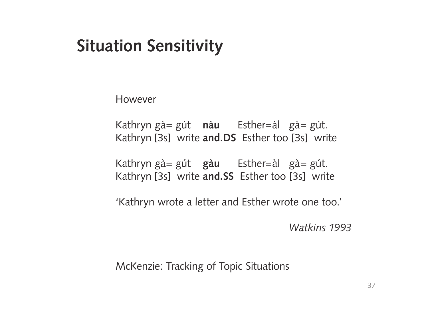## **Situation Sensitivity**

However

Kathryn gà= gút **nàu** Esther=àl gà= gút. Kathryn [3s] write **and.DS** Esther too [3s] write

Kathryn gà= gút **gàu** Esther=àl gà= gút. Kathryn [3s] write **and.SS** Esther too [3s] write

'Kathryn wrote a letter and Esther wrote one too.'

 *Watkins 1993*

McKenzie: Tracking of Topic Situations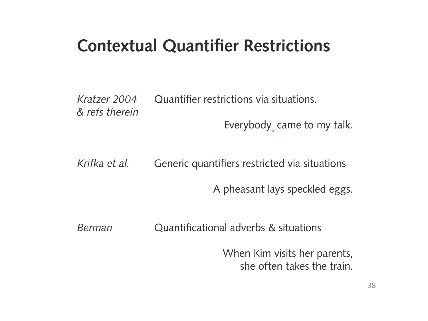### **Contextual Quantifier Restrictions**

*Kratzer 2004* • Quantifier restrictions via situations. *& refs therein*

Everybody<sub>s</sub> came to my talk.

*Krifka et al.* Generic quantifiers restricted via situations

A pheasant lays speckled eggs.

*Berman* Quantificational adverbs & situations

 When Kim visits her parents, she often takes the train.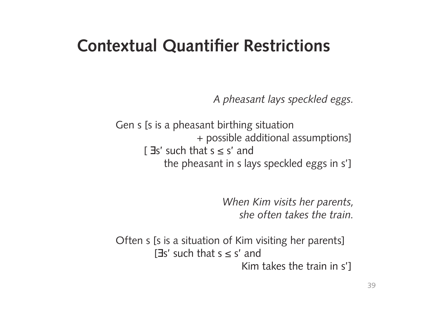### **Contextual Quantifier Restrictions**

 *A pheasant lays speckled eggs.*

Gen s [s is a pheasant birthing situation + possible additional assumptions]  $\lceil$   $\exists$ s' such that s  $\leq$  s' and the pheasant in s lays speckled eggs in s']

> *When Kim visits her parents, she often takes the train.*

 Often s [s is a situation of Kim visiting her parents] [ $\exists$ s' such that s  $\leq$  s' and Kim takes the train in s']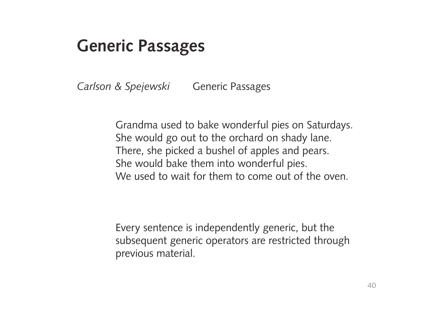### **Generic Passages**

*Carlson & Spejewski* Generic Passages

 Grandma used to bake wonderful pies on Saturdays. She would go out to the orchard on shady lane. There, she picked a bushel of apples and pears. She would bake them into wonderful pies. We used to wait for them to come out of the oven.

 Every sentence is independently generic, but the subsequent generic operators are restricted through previous material.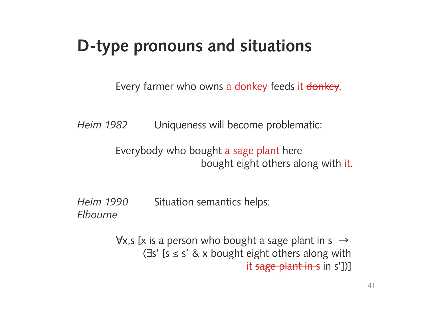# **D-type pronouns and situations**

Every farmer who owns a donkey feeds it donkey.

*Heim 1982* Uniqueness will become problematic:

Everybody who bought a sage plant here bought eight others along with it.

*Heim 1990* Situation semantics helps: *Elbourne*

> $\forall x,s$  [x is a person who bought a sage plant in s  $\rightarrow$  (∃s' [s ≤ s' & x bought eight others along with it sage plant in s in s'])]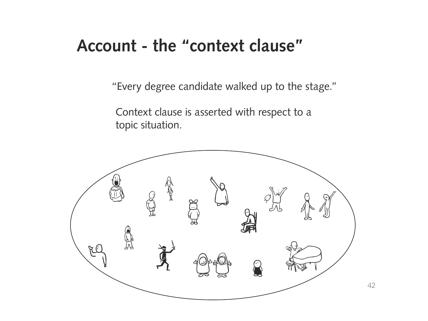### **Account - the "context clause"**

"Every degree candidate walked up to the stage."

 Context clause is asserted with respect to a topic situation.

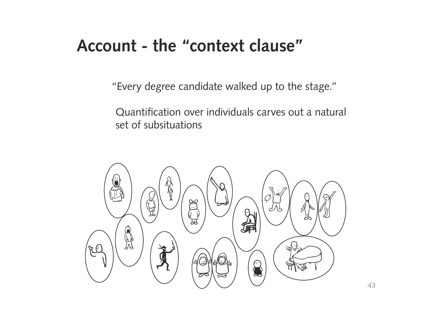### **Account - the "context clause"**

"Every degree candidate walked up to the stage."

 Quantification over individuals carves out a natural set of subsituations

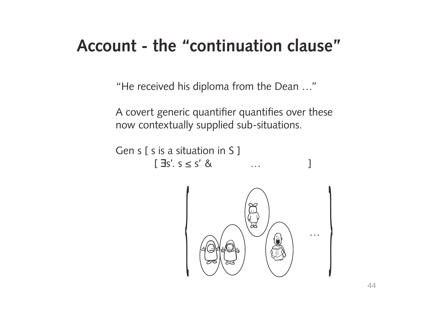### **Account - the "continuation clause"**

"He received his diploma from the Dean …"

 A covert generic quantifier quantifies over these now contextually supplied sub-situations.



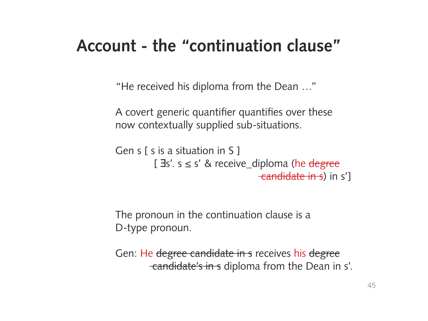# **Account - the "continuation clause"**

"He received his diploma from the Dean …"

 A covert generic quantifier quantifies over these now contextually supplied sub-situations.

```
Gen s \restriction s is a situation in S \restriction[\exists s'. s \leq s' & receive_diploma (he degree
                                candidate in s) in s']
```
 The pronoun in the continuation clause is a D-type pronoun.

Gen: He degree candidate in s receives his degree candidate's in s diploma from the Dean in s'.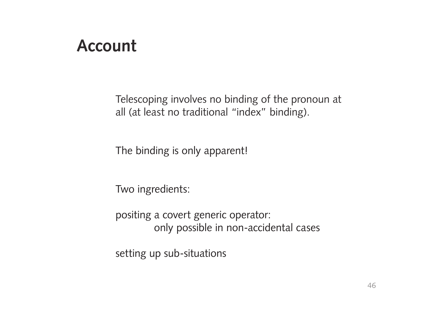## **Account**

 Telescoping involves no binding of the pronoun at all (at least no traditional "index" binding).

The binding is only apparent!

Two ingredients:

 positing a covert generic operator: only possible in non-accidental cases

setting up sub-situations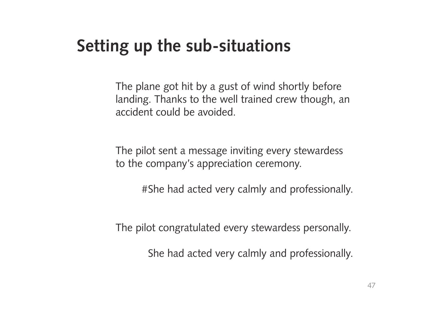# **Setting up the sub-situations**

 The plane got hit by a gust of wind shortly before landing. Thanks to the well trained crew though, an accident could be avoided.

 The pilot sent a message inviting every stewardess to the company's appreciation ceremony.

#She had acted very calmly and professionally.

The pilot congratulated every stewardess personally.

She had acted very calmly and professionally.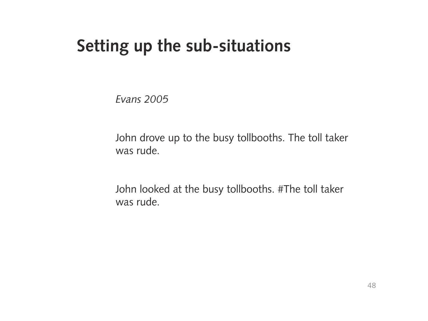### **Setting up the sub-situations**

 *Evans 2005*

 John drove up to the busy tollbooths. The toll taker was rude.

 John looked at the busy tollbooths. #The toll taker was rude.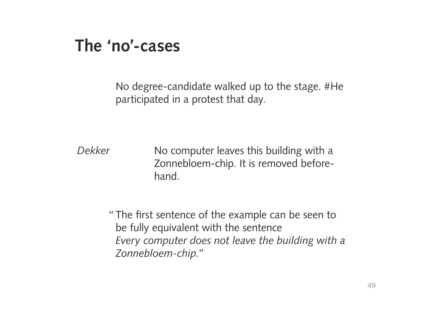#### **The 'no'-cases**

 No degree-candidate walked up to the stage. #He participated in a protest that day.

*Dekker* No computer leaves this building with a Zonnebloem-chip. It is removed before hand.

> " The first sentence of the example can be seen to be fully equivalent with the sentence *Every computer does not leave the building with a Zonnebloem-chip.*"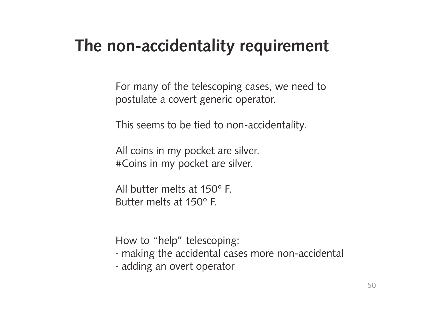For many of the telescoping cases, we need to postulate a covert generic operator.

This seems to be tied to non-accidentality.

 All coins in my pocket are silver. #Coins in my pocket are silver.

 All butter melts at 150º F. Butter melts at 150º F.

How to "help" telescoping:

- · making the accidental cases more non-accidental
- · adding an overt operator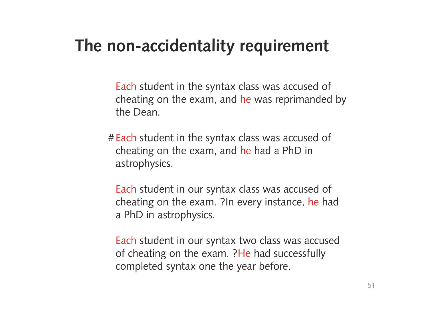Each student in the syntax class was accused of cheating on the exam, and he was reprimanded by the Dean.

 # Each student in the syntax class was accused of cheating on the exam, and he had a PhD in astrophysics.

 Each student in our syntax class was accused of cheating on the exam. ?In every instance, he had a PhD in astrophysics.

 Each student in our syntax two class was accused of cheating on the exam. ?He had successfully completed syntax one the year before.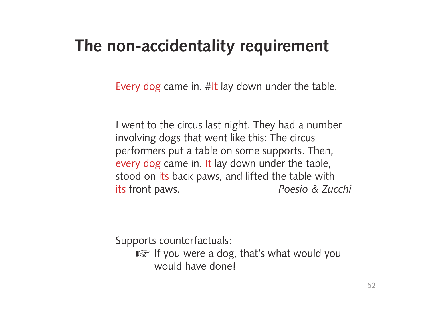Every dog came in. #It lay down under the table.

 I went to the circus last night. They had a number involving dogs that went like this: The circus performers put a table on some supports. Then, every dog came in. It lay down under the table, stood on its back paws, and lifted the table with its front paws. *Poesio & Zucchi*

Supports counterfactuals:

■ If you were a dog, that's what would you would have done!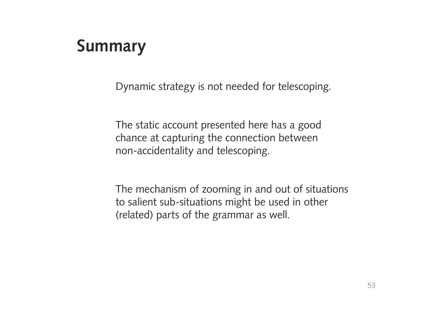# **Summary**

Dynamic strategy is not needed for telescoping.

 The static account presented here has a good chance at capturing the connection between non-accidentality and telescoping.

 The mechanism of zooming in and out of situations to salient sub-situations might be used in other (related) parts of the grammar as well.